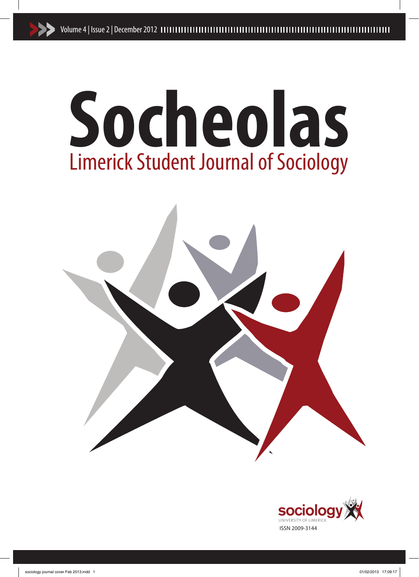## **Socheolas** Limerick Student Journal of Sociology



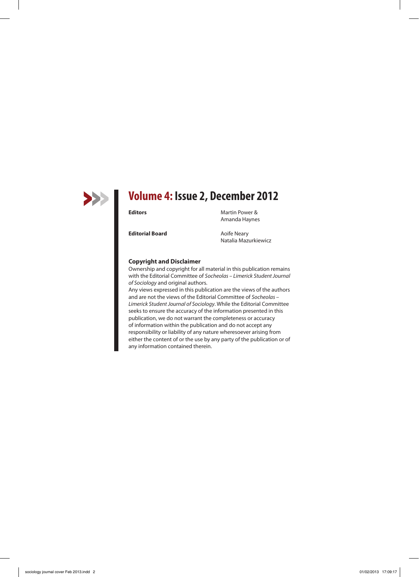

## **Volume 4: Issue 2, December 2012**

**Editors** Martin Power & Amanda Haynes

**Editorial Board Aoife Neary** 

Natalia Mazurkiewicz

## **Copyright and Disclaimer**

Ownership and copyright for all material in this publication remains with the Editorial Committee of *Socheolas – Limerick Student Journal of Sociology* and original authors.

Any views expressed in this publication are the views of the authors and are not the views of the Editorial Committee of *Socheolas – Limerick Student Journal of Sociology*. While the Editorial Committee seeks to ensure the accuracy of the information presented in this publication, we do not warrant the completeness or accuracy of information within the publication and do not accept any responsibility or liability of any nature wheresoever arising from either the content of or the use by any party of the publication or of any information contained therein.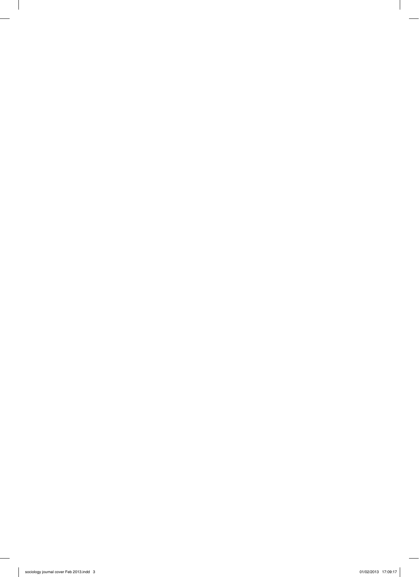$\overline{\phantom{a}}$ 

 $\overline{\phantom{a}}$